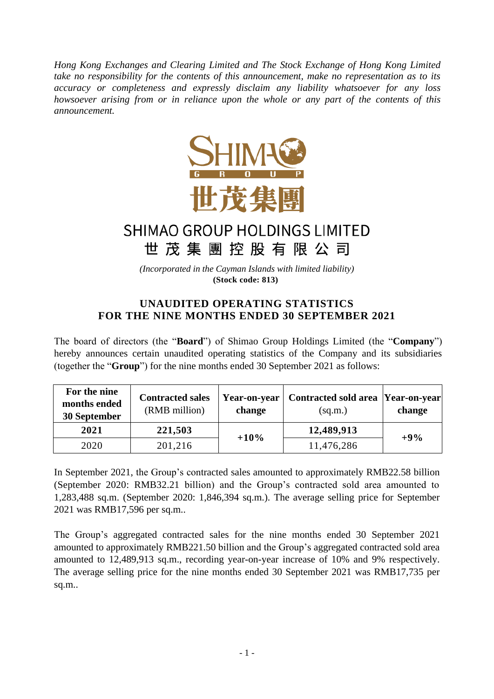*Hong Kong Exchanges and Clearing Limited and The Stock Exchange of Hong Kong Limited take no responsibility for the contents of this announcement, make no representation as to its accuracy or completeness and expressly disclaim any liability whatsoever for any loss howsoever arising from or in reliance upon the whole or any part of the contents of this announcement.*



## SHIMAO GROUP HOLDINGS LIMITED 世茂集團控股有限公司

*(Incorporated in the Cayman Islands with limited liability)* **(Stock code: 813)**

## **UNAUDITED OPERATING STATISTICS FOR THE NINE MONTHS ENDED 30 SEPTEMBER 2021**

The board of directors (the "**Board**") of Shimao Group Holdings Limited (the "**Company**") hereby announces certain unaudited operating statistics of the Company and its subsidiaries (together the "**Group**") for the nine months ended 30 September 2021 as follows:

| For the nine<br>months ended<br>30 September | <b>Contracted sales</b><br>(RMB million) | <b>Year-on-year</b><br>change | Contracted sold area Year-on-year<br>(sq.m.) | change |
|----------------------------------------------|------------------------------------------|-------------------------------|----------------------------------------------|--------|
| 2021                                         | 221,503                                  |                               | 12,489,913                                   |        |
| 2020                                         | 201,216                                  | $+10%$                        | 11,476,286                                   | $+9%$  |

In September 2021, the Group's contracted sales amounted to approximately RMB22.58 billion (September 2020: RMB32.21 billion) and the Group's contracted sold area amounted to 1,283,488 sq.m. (September 2020: 1,846,394 sq.m.). The average selling price for September 2021 was RMB17,596 per sq.m..

The Group's aggregated contracted sales for the nine months ended 30 September 2021 amounted to approximately RMB221.50 billion and the Group's aggregated contracted sold area amounted to 12,489,913 sq.m., recording year-on-year increase of 10% and 9% respectively. The average selling price for the nine months ended 30 September 2021 was RMB17,735 per sq.m..